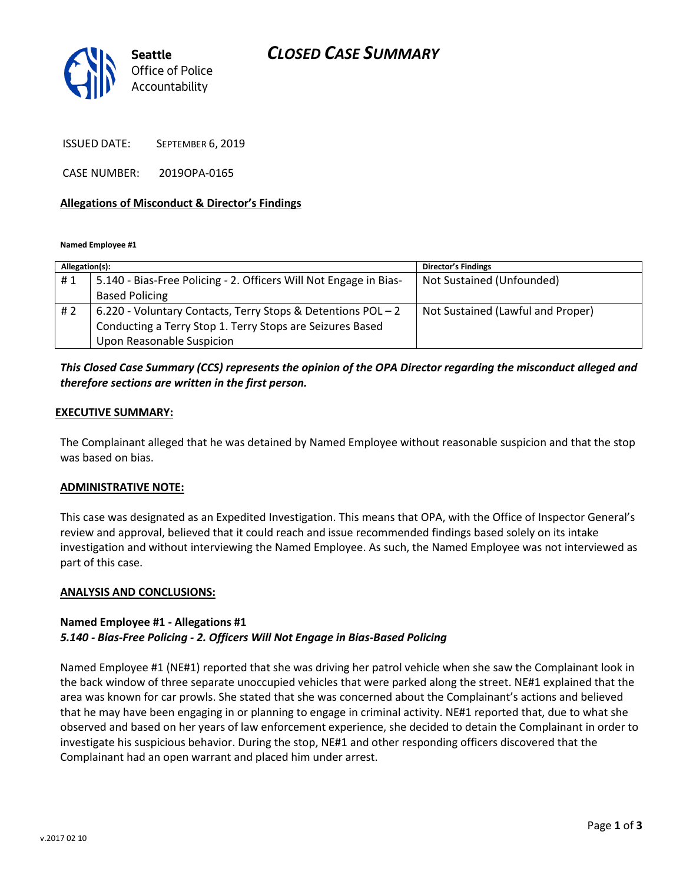# *CLOSED CASE SUMMARY*



ISSUED DATE: SEPTEMBER 6, 2019

CASE NUMBER: 2019OPA-0165

### **Allegations of Misconduct & Director's Findings**

**Named Employee #1**

| Allegation(s): |                                                                   | <b>Director's Findings</b>        |
|----------------|-------------------------------------------------------------------|-----------------------------------|
| #1             | 5.140 - Bias-Free Policing - 2. Officers Will Not Engage in Bias- | Not Sustained (Unfounded)         |
|                | <b>Based Policing</b>                                             |                                   |
| #2             | 6.220 - Voluntary Contacts, Terry Stops & Detentions POL - 2      | Not Sustained (Lawful and Proper) |
|                | Conducting a Terry Stop 1. Terry Stops are Seizures Based         |                                   |
|                | Upon Reasonable Suspicion                                         |                                   |

## *This Closed Case Summary (CCS) represents the opinion of the OPA Director regarding the misconduct alleged and therefore sections are written in the first person.*

### **EXECUTIVE SUMMARY:**

The Complainant alleged that he was detained by Named Employee without reasonable suspicion and that the stop was based on bias.

### **ADMINISTRATIVE NOTE:**

This case was designated as an Expedited Investigation. This means that OPA, with the Office of Inspector General's review and approval, believed that it could reach and issue recommended findings based solely on its intake investigation and without interviewing the Named Employee. As such, the Named Employee was not interviewed as part of this case.

### **ANALYSIS AND CONCLUSIONS:**

### **Named Employee #1 - Allegations #1** *5.140 - Bias-Free Policing - 2. Officers Will Not Engage in Bias-Based Policing*

Named Employee #1 (NE#1) reported that she was driving her patrol vehicle when she saw the Complainant look in the back window of three separate unoccupied vehicles that were parked along the street. NE#1 explained that the area was known for car prowls. She stated that she was concerned about the Complainant's actions and believed that he may have been engaging in or planning to engage in criminal activity. NE#1 reported that, due to what she observed and based on her years of law enforcement experience, she decided to detain the Complainant in order to investigate his suspicious behavior. During the stop, NE#1 and other responding officers discovered that the Complainant had an open warrant and placed him under arrest.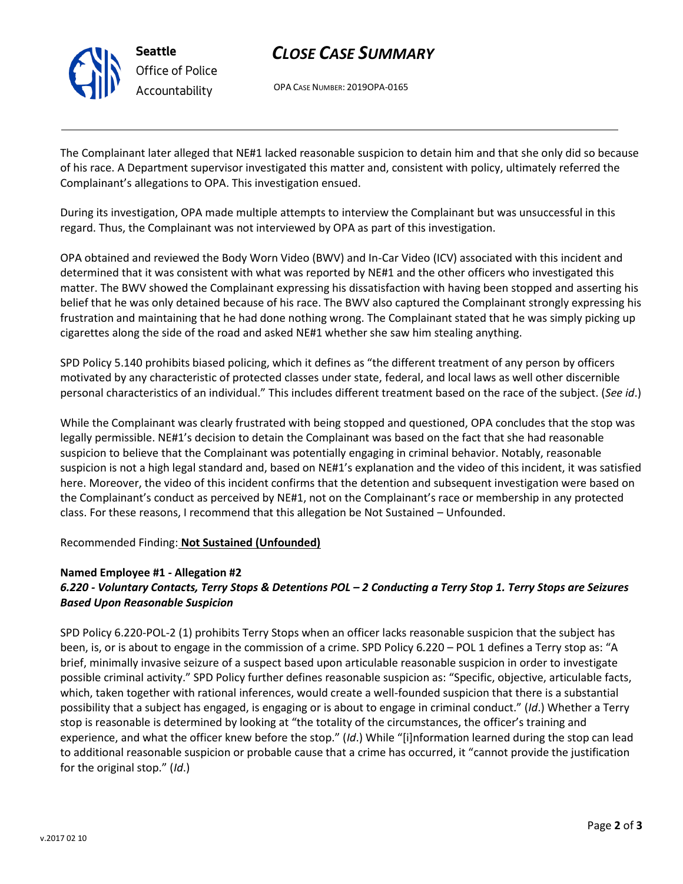

# *CLOSE CASE SUMMARY*

OPA CASE NUMBER: 2019OPA-0165

The Complainant later alleged that NE#1 lacked reasonable suspicion to detain him and that she only did so because of his race. A Department supervisor investigated this matter and, consistent with policy, ultimately referred the Complainant's allegations to OPA. This investigation ensued.

During its investigation, OPA made multiple attempts to interview the Complainant but was unsuccessful in this regard. Thus, the Complainant was not interviewed by OPA as part of this investigation.

OPA obtained and reviewed the Body Worn Video (BWV) and In-Car Video (ICV) associated with this incident and determined that it was consistent with what was reported by NE#1 and the other officers who investigated this matter. The BWV showed the Complainant expressing his dissatisfaction with having been stopped and asserting his belief that he was only detained because of his race. The BWV also captured the Complainant strongly expressing his frustration and maintaining that he had done nothing wrong. The Complainant stated that he was simply picking up cigarettes along the side of the road and asked NE#1 whether she saw him stealing anything.

SPD Policy 5.140 prohibits biased policing, which it defines as "the different treatment of any person by officers motivated by any characteristic of protected classes under state, federal, and local laws as well other discernible personal characteristics of an individual." This includes different treatment based on the race of the subject. (*See id*.)

While the Complainant was clearly frustrated with being stopped and questioned, OPA concludes that the stop was legally permissible. NE#1's decision to detain the Complainant was based on the fact that she had reasonable suspicion to believe that the Complainant was potentially engaging in criminal behavior. Notably, reasonable suspicion is not a high legal standard and, based on NE#1's explanation and the video of this incident, it was satisfied here. Moreover, the video of this incident confirms that the detention and subsequent investigation were based on the Complainant's conduct as perceived by NE#1, not on the Complainant's race or membership in any protected class. For these reasons, I recommend that this allegation be Not Sustained – Unfounded.

Recommended Finding: **Not Sustained (Unfounded)**

## **Named Employee #1 - Allegation #2**

## *6.220 - Voluntary Contacts, Terry Stops & Detentions POL – 2 Conducting a Terry Stop 1. Terry Stops are Seizures Based Upon Reasonable Suspicion*

SPD Policy 6.220-POL-2 (1) prohibits Terry Stops when an officer lacks reasonable suspicion that the subject has been, is, or is about to engage in the commission of a crime. SPD Policy 6.220 – POL 1 defines a Terry stop as: "A brief, minimally invasive seizure of a suspect based upon articulable reasonable suspicion in order to investigate possible criminal activity." SPD Policy further defines reasonable suspicion as: "Specific, objective, articulable facts, which, taken together with rational inferences, would create a well-founded suspicion that there is a substantial possibility that a subject has engaged, is engaging or is about to engage in criminal conduct." (*Id*.) Whether a Terry stop is reasonable is determined by looking at "the totality of the circumstances, the officer's training and experience, and what the officer knew before the stop." (*Id*.) While "[i]nformation learned during the stop can lead to additional reasonable suspicion or probable cause that a crime has occurred, it "cannot provide the justification for the original stop." (*Id*.)